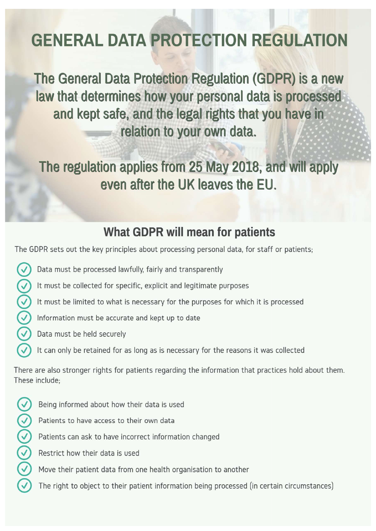## **GENERAL DATA PROTECTION REGULATION**

The General Data Protection Regulation (GDPR) is a new law that determines how your personal data is processed and kept safe, and the legal rights that you have in relation to your own data.

The regulation applies from 25 May 2018, and will apply even after the UK leaves the EU.

### **What GDPR will mean for patients**

The GDPR sets out the key principles about processing personal data, for staff or patients;

- $\bigcirc$ Data must be processed lawfully, fairly and transparently
- $\bigodot$ It must be collected for specific, explicit and legitimate purposes
	- It must be limited to what is necessary for the purposes for which it is processed
	- Information must be accurate and kept up to date
	- Data must be held securely
		- It can only be retained for as long as is necessary for the reasons it was collected

There are also stronger rights for patients regarding the information that practices hold about them. These include:

- $\odot$ Being informed about how their data is used
	- Patients to have access to their own data
	- Patients can ask to have incorrect information changed
	- Restrict how their data is used
	- Move their patient data from one health organisation to another
	- The right to object to their patient information being processed (in certain circumstances)